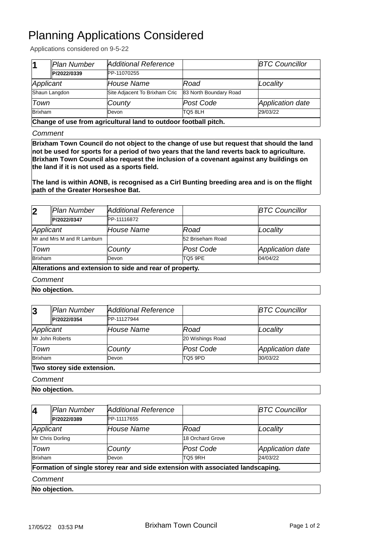## Planning Applications Considered

Applications considered on 9-5-22

| 11                                                              | Plan Number | Additional Reference          |                        | <b>BTC Councillor</b> |
|-----------------------------------------------------------------|-------------|-------------------------------|------------------------|-----------------------|
|                                                                 | P/2022/0339 | PP-11070255                   |                        |                       |
| Applicant                                                       |             | House Name                    | Road                   | Locality              |
| Shaun Langdon                                                   |             | Site Adjacent To Brixham Cric | 83 North Boundary Road |                       |
| Town                                                            |             | County                        | Post Code              | Application date      |
| <b>Brixham</b>                                                  |             | Devon                         | TQ5 8LH                | 29/03/22              |
| Change of use from agricultural land to outdoor football pitch. |             |                               |                        |                       |

 **Change of use from agricultural land to outdoor football pitch.**

*Comment*

**Brixham Town Council do not object to the change of use but request that should the land not be used for sports for a period of two years that the land reverts back to agriculture. Brixham Town Council also request the inclusion of a covenant against any buildings on the land if it is not used as a sports field.** 

**The land is within AONB, is recognised as a Cirl Bunting breeding area and is on the flight path of the Greater Horseshoe Bat.**

| $\overline{2}$                                          | Plan Number | Additional Reference |                  | <b>BTC Councillor</b> |
|---------------------------------------------------------|-------------|----------------------|------------------|-----------------------|
|                                                         | P/2022/0347 | PP-11116872          |                  |                       |
| Applicant                                               |             | House Name           | Road             | Locality              |
| Mr and Mrs M and R Lamburn                              |             |                      | 52 Briseham Road |                       |
| Town                                                    |             | County               | Post Code        | Application date      |
| <b>Brixham</b>                                          |             | Devon                | TQ5 9PE          | 04/04/22              |
| Alterations and extension to side and rear of property. |             |                      |                  |                       |

## *Comment*

**No objection.**

| $\overline{3}$             | Plan Number | Additional Reference |                  | <b>BTC Councillor</b> |
|----------------------------|-------------|----------------------|------------------|-----------------------|
|                            | P/2022/0354 | <b>IPP-11127944</b>  |                  |                       |
| Applicant                  |             | House Name           | Road             | Locality              |
| Mr John Roberts            |             |                      | 20 Wishings Road |                       |
| Town                       |             | County               | Post Code        | Application date      |
| <b>Brixham</b>             |             | Devon                | TQ5 9PD          | 30/03/22              |
| Two storey side extension. |             |                      |                  |                       |

## *Comment*

**No objection.**

| $\vert$ 4                                                                       | Plan Number   | Additional Reference |                  | <b>BTC Councillor</b>   |  |
|---------------------------------------------------------------------------------|---------------|----------------------|------------------|-------------------------|--|
|                                                                                 | P/2022/0389   | PP-11117655          |                  |                         |  |
| Applicant                                                                       |               | <b>House Name</b>    | Road             | Locality                |  |
| Mr Chris Dorling                                                                |               |                      | 18 Orchard Grove |                         |  |
| Town                                                                            |               | County               | Post Code        | <b>Application date</b> |  |
| Brixham                                                                         |               | Devon                | TO5 9RH          | 24/03/22                |  |
| Formation of single storey rear and side extension with associated landscaping. |               |                      |                  |                         |  |
| Comment                                                                         |               |                      |                  |                         |  |
|                                                                                 | No objection. |                      |                  |                         |  |